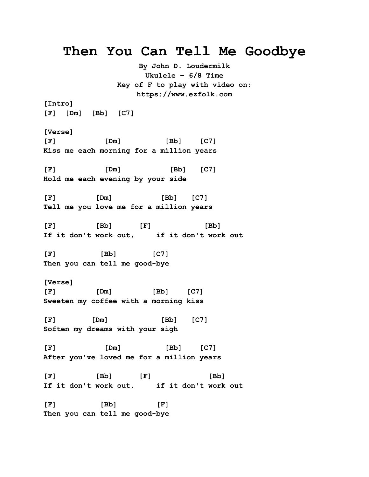## **Then You Can Tell Me Goodbye**

**By John D. Loudermilk Ukulele – 6/8 Time Key of F to play with video on: https://www.ezfolk.com**

**[Intro]**

**[F] [Dm] [Bb] [C7]**

**[Verse]**

**[F] [Dm] [Bb] [C7] Kiss me each morning for a million years**

**[F] [Dm] [Bb] [C7] Hold me each evening by your side**

**[F] [Dm] [Bb] [C7] Tell me you love me for a million years**

**[F] [Bb] [F] [Bb] If it don't work out, if it don't work out** 

**[F] [Bb] [C7] Then you can tell me good-bye**

**[Verse] [F] [Dm] [Bb] [C7] Sweeten my coffee with a morning kiss**

**[F] [Dm] [Bb] [C7] Soften my dreams with your sigh**

**[F] [Dm] [Bb] [C7] After you've loved me for a million years**

**[F] [Bb] [F] [Bb] If it don't work out, if it don't work out**

**[F] [Bb] [F] Then you can tell me good-bye**